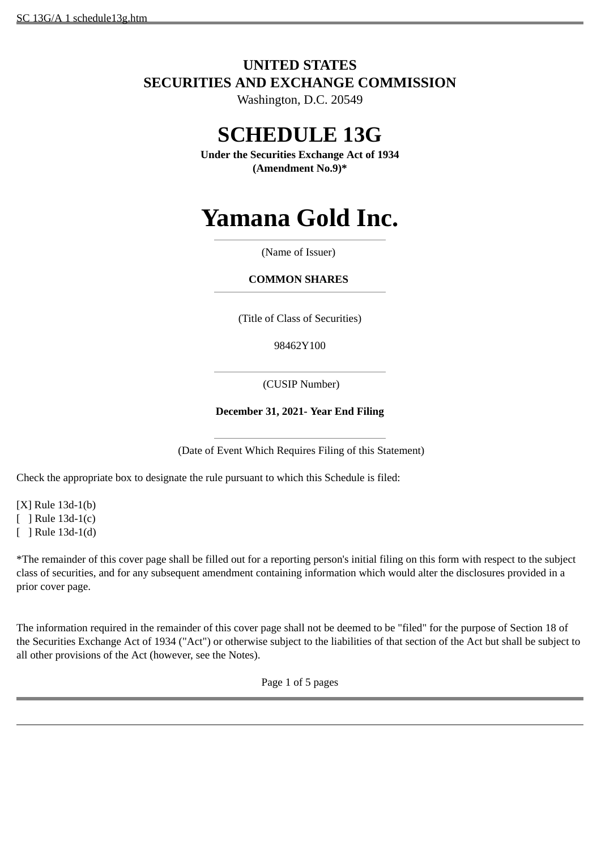### **UNITED STATES SECURITIES AND EXCHANGE COMMISSION**

Washington, D.C. 20549

## **SCHEDULE 13G**

**Under the Securities Exchange Act of 1934 (Amendment No.9)\***

# **Yamana Gold Inc.**

(Name of Issuer)

#### **COMMON SHARES**

(Title of Class of Securities)

98462Y100

(CUSIP Number)

#### **December 31, 2021- Year End Filing**

(Date of Event Which Requires Filing of this Statement)

Check the appropriate box to designate the rule pursuant to which this Schedule is filed:

[X] Rule 13d-1(b) [ ] Rule 13d-1(c) [ ] Rule 13d-1(d)

\*The remainder of this cover page shall be filled out for a reporting person's initial filing on this form with respect to the subject class of securities, and for any subsequent amendment containing information which would alter the disclosures provided in a prior cover page.

The information required in the remainder of this cover page shall not be deemed to be "filed" for the purpose of Section 18 of the Securities Exchange Act of 1934 ("Act") or otherwise subject to the liabilities of that section of the Act but shall be subject to all other provisions of the Act (however, see the Notes).

Page 1 of 5 pages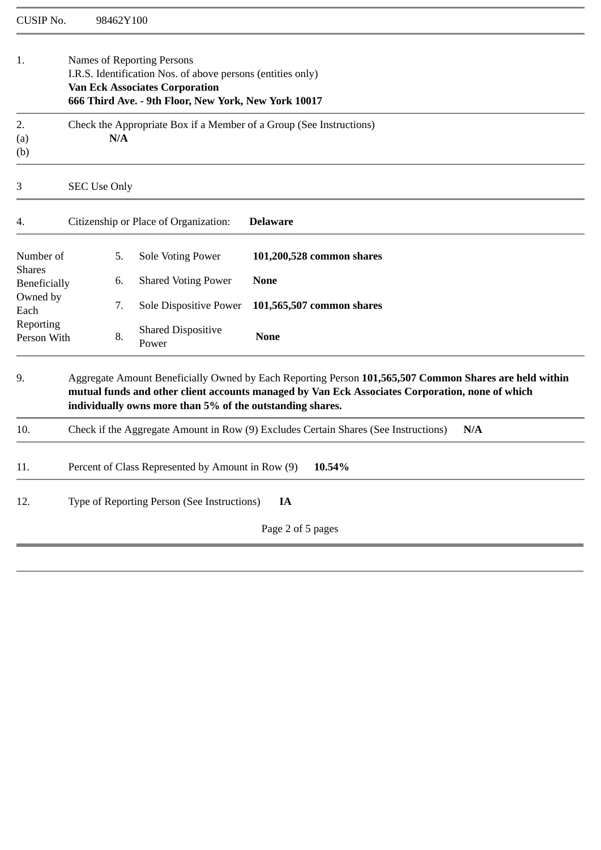| <b>CUSIP No.</b>           |                                                                                                                                                                                                                                                                        | 98462Y100 |                                       |                           |  |  |
|----------------------------|------------------------------------------------------------------------------------------------------------------------------------------------------------------------------------------------------------------------------------------------------------------------|-----------|---------------------------------------|---------------------------|--|--|
| 1.                         | Names of Reporting Persons<br>I.R.S. Identification Nos. of above persons (entities only)<br><b>Van Eck Associates Corporation</b><br>666 Third Ave. - 9th Floor, New York, New York 10017                                                                             |           |                                       |                           |  |  |
| 2.<br>(a)<br>(b)           | Check the Appropriate Box if a Member of a Group (See Instructions)<br>N/A                                                                                                                                                                                             |           |                                       |                           |  |  |
| 3                          | <b>SEC Use Only</b>                                                                                                                                                                                                                                                    |           |                                       |                           |  |  |
| 4.                         |                                                                                                                                                                                                                                                                        |           | Citizenship or Place of Organization: | <b>Delaware</b>           |  |  |
| Number of<br><b>Shares</b> |                                                                                                                                                                                                                                                                        | 5.        | <b>Sole Voting Power</b>              | 101,200,528 common shares |  |  |
| <b>Beneficially</b>        |                                                                                                                                                                                                                                                                        | 6.        | <b>Shared Voting Power</b>            | <b>None</b>               |  |  |
| Owned by<br>Each           |                                                                                                                                                                                                                                                                        | 7.        | Sole Dispositive Power                | 101,565,507 common shares |  |  |
| Reporting<br>Person With   |                                                                                                                                                                                                                                                                        | 8.        | <b>Shared Dispositive</b><br>Power    | <b>None</b>               |  |  |
| 9.                         | Aggregate Amount Beneficially Owned by Each Reporting Person 101,565,507 Common Shares are held within<br>mutual funds and other client accounts managed by Van Eck Associates Corporation, none of which<br>individually owns more than 5% of the outstanding shares. |           |                                       |                           |  |  |
| 10.                        | Check if the Aggregate Amount in Row (9) Excludes Certain Shares (See Instructions)<br>N/A                                                                                                                                                                             |           |                                       |                           |  |  |
| 11.                        | Percent of Class Represented by Amount in Row (9)<br>10.54%                                                                                                                                                                                                            |           |                                       |                           |  |  |
| 12.                        | Type of Reporting Person (See Instructions)<br>IA                                                                                                                                                                                                                      |           |                                       |                           |  |  |
|                            |                                                                                                                                                                                                                                                                        |           |                                       | Page 2 of 5 pages         |  |  |
|                            |                                                                                                                                                                                                                                                                        |           |                                       |                           |  |  |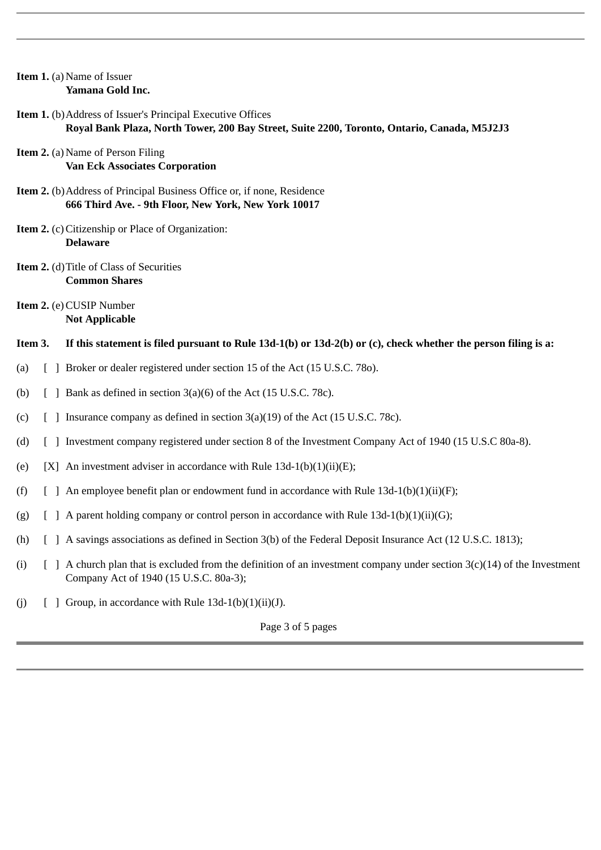| <b>Item 1.</b> (a) Name of Issuer |                  |
|-----------------------------------|------------------|
|                                   | Yamana Gold Inc. |

- **Item 1.** (b)Address of Issuer's Principal Executive Offices **Royal Bank Plaza, North Tower, 200 Bay Street, Suite 2200, Toronto, Ontario, Canada, M5J2J3**
- **Item 2.** (a) Name of Person Filing **Van Eck Associates Corporation**
- **Item 2.** (b)Address of Principal Business Office or, if none, Residence **666 Third Ave. - 9th Floor, New York, New York 10017**
- **Item 2.** (c) Citizenship or Place of Organization: **Delaware**
- **Item 2.** (d)Title of Class of Securities **Common Shares**
- **Item 2.** (e) CUSIP Number **Not Applicable**

#### **Item 3. If this statement is filed pursuant to Rule 13d-1(b) or 13d-2(b) or (c), check whether the person filing is a:**

- (a) [ ] Broker or dealer registered under section 15 of the Act (15 U.S.C. 78o).
- (b)  $\left[ \right]$  Bank as defined in section 3(a)(6) of the Act (15 U.S.C. 78c).
- (c)  $\lceil \cdot \rceil$  Insurance company as defined in section 3(a)(19) of the Act (15 U.S.C. 78c).
- (d) [ ] Investment company registered under section 8 of the Investment Company Act of 1940 (15 U.S.C 80a-8).
- (e)  $[X]$  An investment adviser in accordance with Rule 13d-1(b)(1)(ii)(E);
- (f)  $\left[ \begin{array}{cc} \end{array} \right]$  An employee benefit plan or endowment fund in accordance with Rule 13d-1(b)(1)(ii)(F);
- (g)  $\left[ \right]$  A parent holding company or control person in accordance with Rule 13d-1(b)(1)(ii)(G);
- (h) [ ] A savings associations as defined in Section 3(b) of the Federal Deposit Insurance Act (12 U.S.C. 1813);
- (i)  $\left[ \right]$  A church plan that is excluded from the definition of an investment company under section 3(c)(14) of the Investment Company Act of 1940 (15 U.S.C. 80a-3);
- (i)  $\left[ \begin{array}{cc} \end{array} \right]$  Group, in accordance with Rule 13d-1(b)(1)(ii)(J).

Page 3 of 5 pages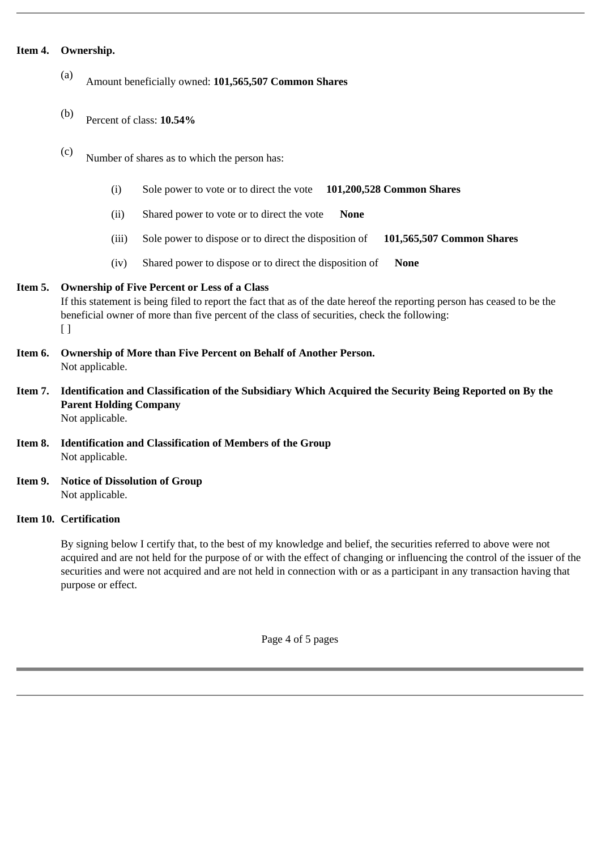#### **Item 4. Ownership.**

- (a) Amount beneficially owned: **101,565,507 Common Shares**
- (b) Percent of class: **10.54%**
- (c) Number of shares as to which the person has:
	- (i) Sole power to vote or to direct the vote **101,200,528 Common Shares**
	- (ii) Shared power to vote or to direct the vote **None**
	- (iii) Sole power to dispose or to direct the disposition of **101,565,507 Common Shares**
	- (iv) Shared power to dispose or to direct the disposition of **None**

#### **Item 5. Ownership of Five Percent or Less of a Class**

If this statement is being filed to report the fact that as of the date hereof the reporting person has ceased to be the beneficial owner of more than five percent of the class of securities, check the following:  $\lceil$   $\rceil$ 

- **Item 6. Ownership of More than Five Percent on Behalf of Another Person.** Not applicable.
- **Item 7. Identification and Classification of the Subsidiary Which Acquired the Security Being Reported on By the Parent Holding Company** Not applicable.
- **Item 8. Identification and Classification of Members of the Group** Not applicable.
- **Item 9. Notice of Dissolution of Group** Not applicable.

#### **Item 10. Certification**

By signing below I certify that, to the best of my knowledge and belief, the securities referred to above were not acquired and are not held for the purpose of or with the effect of changing or influencing the control of the issuer of the securities and were not acquired and are not held in connection with or as a participant in any transaction having that purpose or effect.

Page 4 of 5 pages